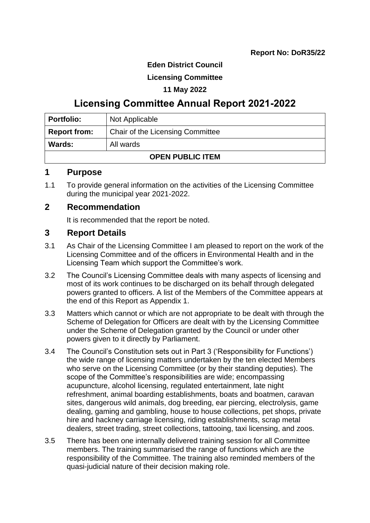### **Eden District Council**

### **Licensing Committee**

#### **11 May 2022**

# **Licensing Committee Annual Report 2021-2022**

| <b>Portfolio:</b>          | Not Applicable                   |  |
|----------------------------|----------------------------------|--|
| <b>Report from:</b>        | Chair of the Licensing Committee |  |
| <b>Wards:</b><br>All wards |                                  |  |
| <b>OPEN PUBLIC ITEM</b>    |                                  |  |

### **1 Purpose**

1.1 To provide general information on the activities of the Licensing Committee during the municipal year 2021-2022.

### **2 Recommendation**

It is recommended that the report be noted.

### **3 Report Details**

- 3.1 As Chair of the Licensing Committee I am pleased to report on the work of the Licensing Committee and of the officers in Environmental Health and in the Licensing Team which support the Committee's work.
- 3.2 The Council's Licensing Committee deals with many aspects of licensing and most of its work continues to be discharged on its behalf through delegated powers granted to officers. A list of the Members of the Committee appears at the end of this Report as Appendix 1.
- 3.3 Matters which cannot or which are not appropriate to be dealt with through the Scheme of Delegation for Officers are dealt with by the Licensing Committee under the Scheme of Delegation granted by the Council or under other powers given to it directly by Parliament.
- 3.4 The Council's Constitution sets out in Part 3 ('Responsibility for Functions') the wide range of licensing matters undertaken by the ten elected Members who serve on the Licensing Committee (or by their standing deputies). The scope of the Committee's responsibilities are wide; encompassing acupuncture, alcohol licensing, regulated entertainment, late night refreshment, animal boarding establishments, boats and boatmen, caravan sites, dangerous wild animals, dog breeding, ear piercing, electrolysis, game dealing, gaming and gambling, house to house collections, pet shops, private hire and hackney carriage licensing, riding establishments, scrap metal dealers, street trading, street collections, tattooing, taxi licensing, and zoos.
- 3.5 There has been one internally delivered training session for all Committee members. The training summarised the range of functions which are the responsibility of the Committee. The training also reminded members of the quasi-judicial nature of their decision making role.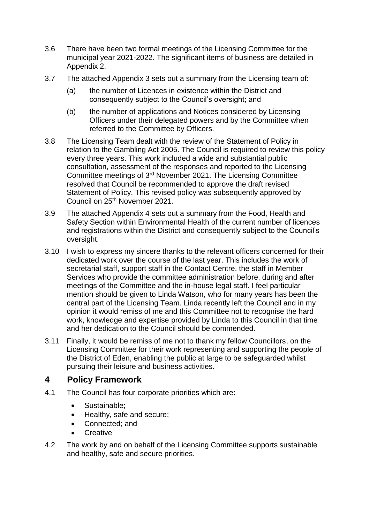- 3.6 There have been two formal meetings of the Licensing Committee for the municipal year 2021-2022. The significant items of business are detailed in Appendix 2.
- 3.7 The attached Appendix 3 sets out a summary from the Licensing team of:
	- (a) the number of Licences in existence within the District and consequently subject to the Council's oversight; and
	- (b) the number of applications and Notices considered by Licensing Officers under their delegated powers and by the Committee when referred to the Committee by Officers.
- 3.8 The Licensing Team dealt with the review of the Statement of Policy in relation to the Gambling Act 2005. The Council is required to review this policy every three years. This work included a wide and substantial public consultation, assessment of the responses and reported to the Licensing Committee meetings of 3rd November 2021. The Licensing Committee resolved that Council be recommended to approve the draft revised Statement of Policy. This revised policy was subsequently approved by Council on 25<sup>th</sup> November 2021.
- 3.9 The attached Appendix 4 sets out a summary from the Food, Health and Safety Section within Environmental Health of the current number of licences and registrations within the District and consequently subject to the Council's oversight.
- 3.10 I wish to express my sincere thanks to the relevant officers concerned for their dedicated work over the course of the last year. This includes the work of secretarial staff, support staff in the Contact Centre, the staff in Member Services who provide the committee administration before, during and after meetings of the Committee and the in-house legal staff. I feel particular mention should be given to Linda Watson, who for many years has been the central part of the Licensing Team. Linda recently left the Council and in my opinion it would remiss of me and this Committee not to recognise the hard work, knowledge and expertise provided by Linda to this Council in that time and her dedication to the Council should be commended.
- 3.11 Finally, it would be remiss of me not to thank my fellow Councillors, on the Licensing Committee for their work representing and supporting the people of the District of Eden, enabling the public at large to be safeguarded whilst pursuing their leisure and business activities.

### **4 Policy Framework**

- 4.1 The Council has four corporate priorities which are:
	- Sustainable:
	- Healthy, safe and secure;
	- Connected; and
	- **Creative**
- 4.2 The work by and on behalf of the Licensing Committee supports sustainable and healthy, safe and secure priorities.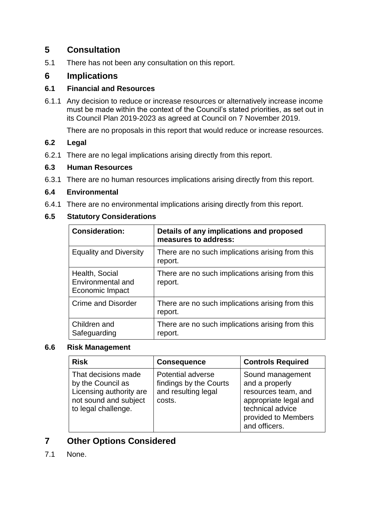## **5 Consultation**

5.1 There has not been any consultation on this report.

### **6 Implications**

#### **6.1 Financial and Resources**

6.1.1 Any decision to reduce or increase resources or alternatively increase income must be made within the context of the Council's stated priorities, as set out in its Council Plan 2019-2023 as agreed at Council on 7 November 2019.

There are no proposals in this report that would reduce or increase resources.

### **6.2 Legal**

6.2.1 There are no legal implications arising directly from this report.

#### **6.3 Human Resources**

6.3.1 There are no human resources implications arising directly from this report.

#### **6.4 Environmental**

6.4.1 There are no environmental implications arising directly from this report.

#### **6.5 Statutory Considerations**

| <b>Consideration:</b>                                  | Details of any implications and proposed<br>measures to address: |
|--------------------------------------------------------|------------------------------------------------------------------|
| <b>Equality and Diversity</b>                          | There are no such implications arising from this<br>report.      |
| Health, Social<br>Environmental and<br>Economic Impact | There are no such implications arising from this<br>report.      |
| <b>Crime and Disorder</b>                              | There are no such implications arising from this<br>report.      |
| Children and<br>Safeguarding                           | There are no such implications arising from this<br>report.      |

#### **6.6 Risk Management**

| <b>Risk</b>                                                                                                         | <b>Consequence</b>                                                                  | <b>Controls Required</b>                                                                                                                       |
|---------------------------------------------------------------------------------------------------------------------|-------------------------------------------------------------------------------------|------------------------------------------------------------------------------------------------------------------------------------------------|
| That decisions made<br>by the Council as<br>Licensing authority are<br>not sound and subject<br>to legal challenge. | <b>Potential adverse</b><br>findings by the Courts<br>and resulting legal<br>costs. | Sound management<br>and a properly<br>resources team, and<br>appropriate legal and<br>technical advice<br>provided to Members<br>and officers. |

### **7 Other Options Considered**

7.1 None.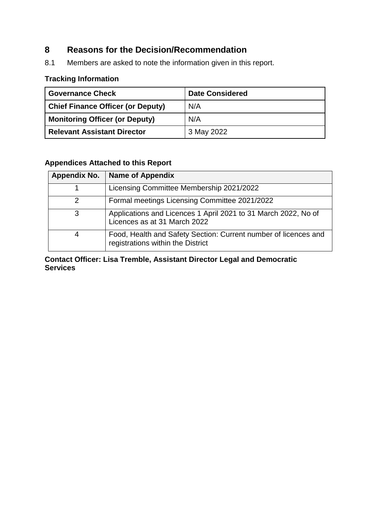## **8 Reasons for the Decision/Recommendation**

8.1 Members are asked to note the information given in this report.

### **Tracking Information**

| <b>Governance Check</b>                  | <b>Date Considered</b> |  |
|------------------------------------------|------------------------|--|
| <b>Chief Finance Officer (or Deputy)</b> | N/A                    |  |
| <b>Monitoring Officer (or Deputy)</b>    | N/A                    |  |
| <b>Relevant Assistant Director</b>       | 3 May 2022             |  |

## **Appendices Attached to this Report**

| Appendix No. | <b>Name of Appendix</b>                                                                              |
|--------------|------------------------------------------------------------------------------------------------------|
|              | Licensing Committee Membership 2021/2022                                                             |
| 2            | Formal meetings Licensing Committee 2021/2022                                                        |
| 3            | Applications and Licences 1 April 2021 to 31 March 2022, No of<br>Licences as at 31 March 2022       |
|              | Food, Health and Safety Section: Current number of licences and<br>registrations within the District |

**Contact Officer: Lisa Tremble, Assistant Director Legal and Democratic Services**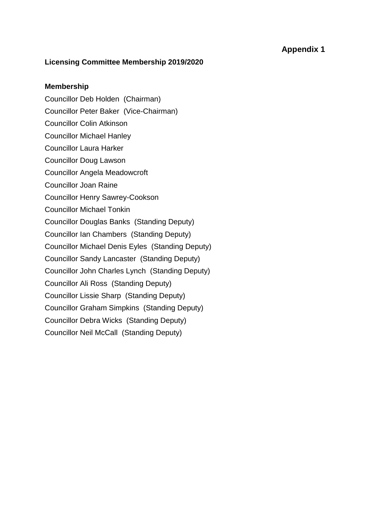#### **Licensing Committee Membership 2019/2020**

#### **Membership**

- [Councillor Deb Holden](https://democracy.eden.gov.uk/mgUserInfo.aspx?UID=320) (Chairman)
- [Councillor Peter Baker](https://democracy.eden.gov.uk/mgUserInfo.aspx?UID=446) (Vice-Chairman)
- [Councillor Colin Atkinson](https://democracy.eden.gov.uk/mgUserInfo.aspx?UID=496)
- [Councillor Michael Hanley](https://democracy.eden.gov.uk/mgUserInfo.aspx?UID=437)
- [Councillor Laura Harker](https://democracy.eden.gov.uk/mgUserInfo.aspx?UID=438)
- [Councillor Doug Lawson](https://democracy.eden.gov.uk/mgUserInfo.aspx?UID=444)
- [Councillor Angela Meadowcroft](https://democracy.eden.gov.uk/mgUserInfo.aspx?UID=323)
- [Councillor Joan Raine](https://democracy.eden.gov.uk/mgUserInfo.aspx?UID=132)
- [Councillor Henry Sawrey-Cookson](https://democracy.eden.gov.uk/mgUserInfo.aspx?UID=134)
- [Councillor Michael Tonkin](https://democracy.eden.gov.uk/mgUserInfo.aspx?UID=114)
- [Councillor Douglas Banks](https://democracy.eden.gov.uk/mgUserInfo.aspx?UID=317) (Standing Deputy)
- [Councillor Ian Chambers](https://democracy.eden.gov.uk/mgUserInfo.aspx?UID=313) (Standing Deputy)
- [Councillor Michael Denis Eyles](https://democracy.eden.gov.uk/mgUserInfo.aspx?UID=120) (Standing Deputy)
- [Councillor Sandy Lancaster](https://democracy.eden.gov.uk/mgUserInfo.aspx?UID=443) (Standing Deputy)
- [Councillor John Charles Lynch](https://democracy.eden.gov.uk/mgUserInfo.aspx?UID=129) (Standing Deputy)
- [Councillor Ali Ross](https://democracy.eden.gov.uk/mgUserInfo.aspx?UID=445) (Standing Deputy)
- [Councillor Lissie Sharp](https://democracy.eden.gov.uk/mgUserInfo.aspx?UID=405) (Standing Deputy)
- [Councillor Graham Simpkins](https://democracy.eden.gov.uk/mgUserInfo.aspx?UID=439) (Standing Deputy)
- [Councillor Debra Wicks](https://democracy.eden.gov.uk/mgUserInfo.aspx?UID=440) (Standing Deputy)
- [Councillor Neil McCall](https://democracy.eden.gov.uk/mgUserInfo.aspx?UID=470) (Standing Deputy)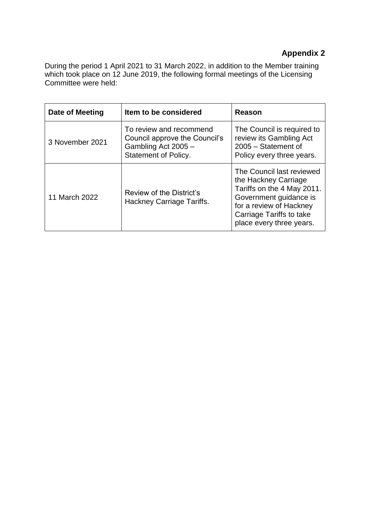During the period 1 April 2021 to 31 March 2022, in addition to the Member training which took place on 12 June 2019, the following formal meetings of the Licensing Committee were held:

| Date of Meeting | Item to be considered                                                                                          | Reason                                                                                                                                                                                       |
|-----------------|----------------------------------------------------------------------------------------------------------------|----------------------------------------------------------------------------------------------------------------------------------------------------------------------------------------------|
| 3 November 2021 | To review and recommend<br>Council approve the Council's<br>Gambling Act 2005 -<br><b>Statement of Policy.</b> | The Council is required to<br>review its Gambling Act<br>2005 - Statement of<br>Policy every three years.                                                                                    |
| 11 March 2022   | Review of the District's<br>Hackney Carriage Tariffs.                                                          | The Council last reviewed<br>the Hackney Carriage<br>Tariffs on the 4 May 2011.<br>Government guidance is<br>for a review of Hackney<br>Carriage Tariffs to take<br>place every three years. |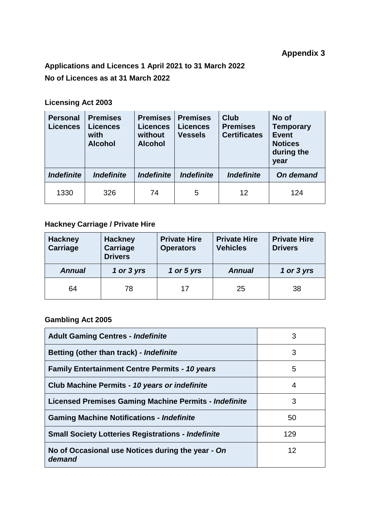# **Applications and Licences 1 April 2021 to 31 March 2022 No of Licences as at 31 March 2022**

## **Licensing Act 2003**

| <b>Personal</b><br><b>Licences</b> | <b>Premises</b><br><b>Licences</b><br>with<br><b>Alcohol</b> | <b>Premises</b><br><b>Licences</b><br>without<br><b>Alcohol</b> | <b>Premises</b><br><b>Licences</b><br><b>Vessels</b> | <b>Club</b><br><b>Premises</b><br><b>Certificates</b> | No of<br><b>Temporary</b><br><b>Event</b><br><b>Notices</b><br>during the<br>year |
|------------------------------------|--------------------------------------------------------------|-----------------------------------------------------------------|------------------------------------------------------|-------------------------------------------------------|-----------------------------------------------------------------------------------|
| <b>Indefinite</b>                  | <i><b>Indefinite</b></i>                                     | <b>Indefinite</b>                                               | <b>Indefinite</b>                                    | <i><b>Indefinite</b></i>                              | On demand                                                                         |
| 1330                               | 326                                                          | 74                                                              | 5                                                    | 12                                                    | 124                                                                               |

## **Hackney Carriage / Private Hire**

| <b>Hackney</b><br>Carriage | <b>Hackney</b><br>Carriage<br><b>Drivers</b> | <b>Private Hire</b><br><b>Operators</b> | <b>Private Hire</b><br><b>Vehicles</b> | <b>Private Hire</b><br><b>Drivers</b> |
|----------------------------|----------------------------------------------|-----------------------------------------|----------------------------------------|---------------------------------------|
| <b>Annual</b>              | 1 or 3 yrs                                   | 1 or 5 yrs                              | <b>Annual</b>                          | 1 or 3 yrs                            |
| 64                         | 78                                           | 17                                      | 25                                     | 38                                    |

## **Gambling Act 2005**

| <b>Adult Gaming Centres - Indefinite</b>                    | 3   |
|-------------------------------------------------------------|-----|
| Betting (other than track) - Indefinite                     | 3   |
| <b>Family Entertainment Centre Permits - 10 years</b>       | 5   |
| Club Machine Permits - 10 years or indefinite               | 4   |
| Licensed Premises Gaming Machine Permits - Indefinite       | 3   |
| <b>Gaming Machine Notifications - Indefinite</b>            | 50  |
| <b>Small Society Lotteries Registrations - Indefinite</b>   | 129 |
| No of Occasional use Notices during the year - On<br>demand | 12  |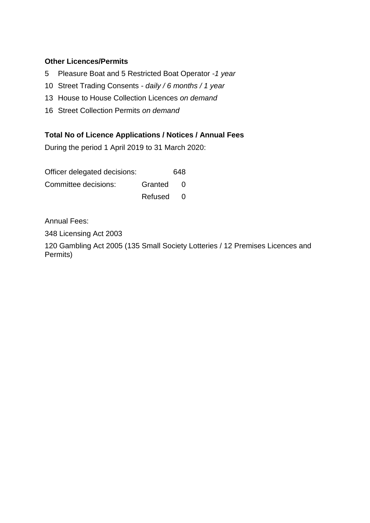### **Other Licences/Permits**

- 5 Pleasure Boat and 5 Restricted Boat Operator -*1 year*
- 10 Street Trading Consents *- daily / 6 months / 1 year*
- 13 House to House Collection Licences *on demand*
- 16 Street Collection Permits *on demand*

### **Total No of Licence Applications / Notices / Annual Fees**

During the period 1 April 2019 to 31 March 2020:

| Officer delegated decisions: |         | 648      |
|------------------------------|---------|----------|
| Committee decisions:         | Granted | - 0      |
|                              | Refused | $\Omega$ |

Annual Fees:

348 Licensing Act 2003

120 Gambling Act 2005 (135 Small Society Lotteries / 12 Premises Licences and Permits)